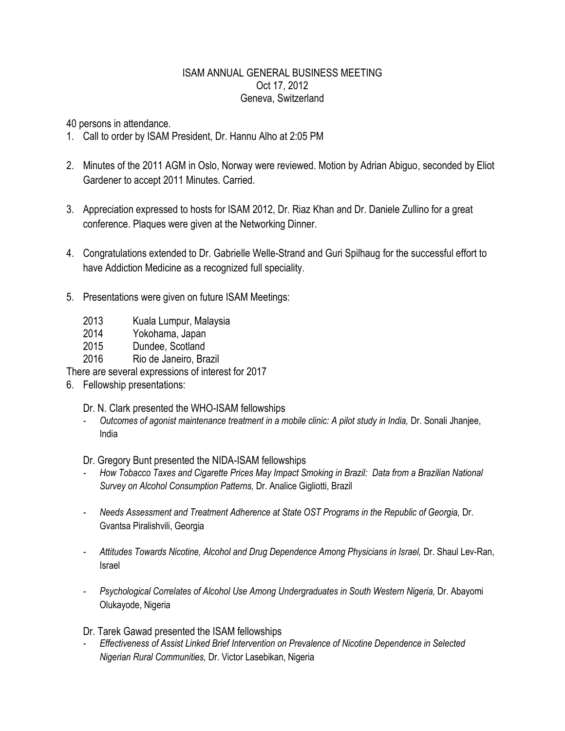## ISAM ANNUAL GENERAL BUSINESS MEETING Oct 17, 2012 Geneva, Switzerland

40 persons in attendance.

- 1. Call to order by ISAM President, Dr. Hannu Alho at 2:05 PM
- 2. Minutes of the 2011 AGM in Oslo, Norway were reviewed. Motion by Adrian Abiguo, seconded by Eliot Gardener to accept 2011 Minutes. Carried.
- 3. Appreciation expressed to hosts for ISAM 2012, Dr. Riaz Khan and Dr. Daniele Zullino for a great conference. Plaques were given at the Networking Dinner.
- 4. Congratulations extended to Dr. Gabrielle Welle-Strand and Guri Spilhaug for the successful effort to have Addiction Medicine as a recognized full speciality.
- 5. Presentations were given on future ISAM Meetings:
	- 2013 Kuala Lumpur, Malaysia
	- 2014 Yokohama, Japan
	- 2015 Dundee, Scotland
	- 2016 Rio de Janeiro, Brazil

There are several expressions of interest for 2017

6. Fellowship presentations:

Dr. N. Clark presented the WHO-ISAM fellowships

*- Outcomes of agonist maintenance treatment in a mobile clinic: A pilot study in India,* Dr. Sonali Jhanjee, India

Dr. Gregory Bunt presented the NIDA-ISAM fellowships

- *- How Tobacco Taxes and Cigarette Prices May Impact Smoking in Brazil: Data from a Brazilian National Survey on Alcohol Consumption Patterns,* Dr. Analice Gigliotti, Brazil
- *- Needs Assessment and Treatment Adherence at State OST Programs in the Republic of Georgia,* Dr. Gvantsa Piralishvili, Georgia
- *- Attitudes Towards Nicotine, Alcohol and Drug Dependence Among Physicians in Israel,* Dr. Shaul Lev-Ran, Israel
- *- Psychological Correlates of Alcohol Use Among Undergraduates in South Western Nigeria,* Dr. Abayomi Olukayode, Nigeria

Dr. Tarek Gawad presented the ISAM fellowships

*- Effectiveness of Assist Linked Brief Intervention on Prevalence of Nicotine Dependence in Selected Nigerian Rural Communities,* Dr. Victor Lasebikan, Nigeria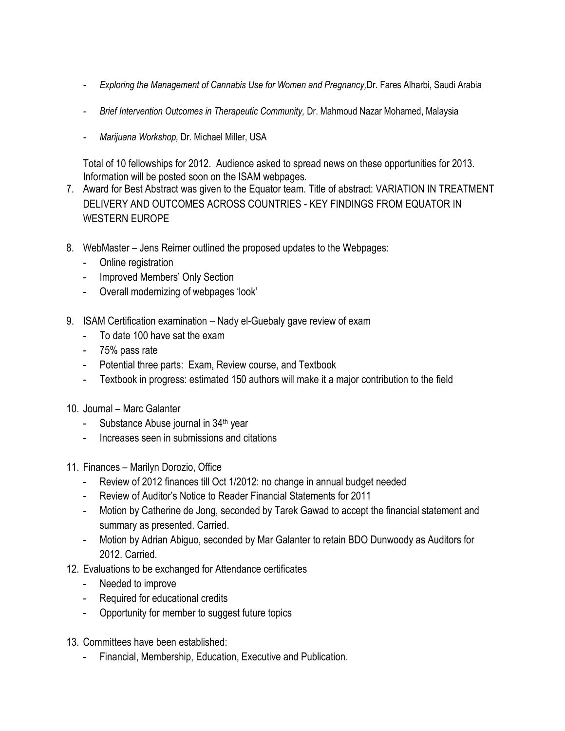- *- Exploring the Management of Cannabis Use for Women and Pregnancy,*Dr. Fares Alharbi, Saudi Arabia
- *- Brief Intervention Outcomes in Therapeutic Community,* Dr. Mahmoud Nazar Mohamed, Malaysia
- *- Marijuana Workshop,* Dr. Michael Miller, USA

Total of 10 fellowships for 2012. Audience asked to spread news on these opportunities for 2013. Information will be posted soon on the ISAM webpages.

- 7. Award for Best Abstract was given to the Equator team. Title of abstract: VARIATION IN TREATMENT DELIVERY AND OUTCOMES ACROSS COUNTRIES - KEY FINDINGS FROM EQUATOR IN WESTERN EUROPE
- 8. WebMaster Jens Reimer outlined the proposed updates to the Webpages:
	- Online registration
	- Improved Members' Only Section
	- Overall modernizing of webpages 'look'
- 9. ISAM Certification examination Nady el-Guebaly gave review of exam
	- To date 100 have sat the exam
	- 75% pass rate
	- Potential three parts: Exam, Review course, and Textbook
	- Textbook in progress: estimated 150 authors will make it a major contribution to the field
- 10. Journal Marc Galanter
	- Substance Abuse journal in 34<sup>th</sup> year
	- Increases seen in submissions and citations
- 11. Finances Marilyn Dorozio, Office
	- Review of 2012 finances till Oct 1/2012: no change in annual budget needed
	- Review of Auditor's Notice to Reader Financial Statements for 2011
	- Motion by Catherine de Jong, seconded by Tarek Gawad to accept the financial statement and summary as presented. Carried.
	- Motion by Adrian Abiguo, seconded by Mar Galanter to retain BDO Dunwoody as Auditors for 2012. Carried.
- 12. Evaluations to be exchanged for Attendance certificates
	- Needed to improve
	- Required for educational credits
	- Opportunity for member to suggest future topics
- 13. Committees have been established:
	- Financial, Membership, Education, Executive and Publication.